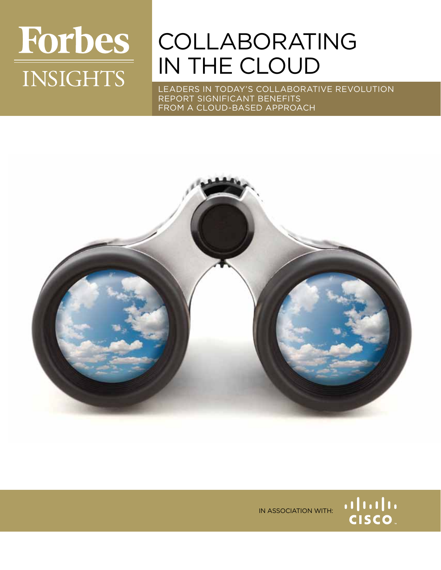# **Forbes INSIGHTS**

## **COLLABORATING** in the cloud

Leaders in today's collaborative revolution report significant benefits from a cloud-based approach



in association with:

alala<br>CISCO.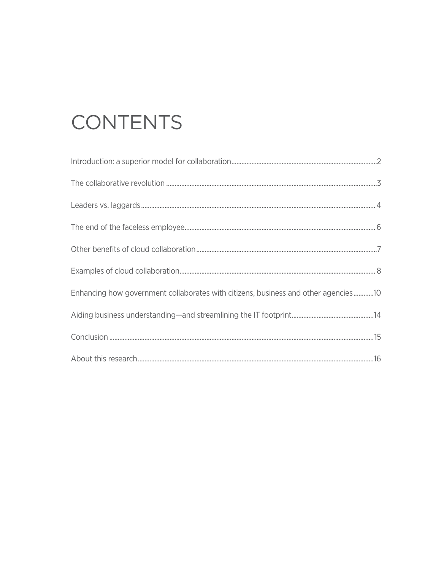## CONTENTS

| Enhancing how government collaborates with citizens, business and other agencies10 |
|------------------------------------------------------------------------------------|
|                                                                                    |
|                                                                                    |
|                                                                                    |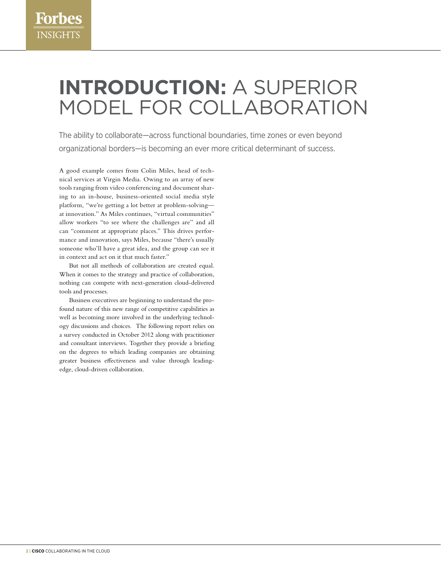## **Introduction:** a superior model for collaboration

The ability to collaborate—across functional boundaries, time zones or even beyond organizational borders—is becoming an ever more critical determinant of success.

A good example comes from Colin Miles, head of technical services at Virgin Media. Owing to an array of new tools ranging from video conferencing and document sharing to an in-house, business-oriented social media style platform, "we're getting a lot better at problem-solving at innovation." As Miles continues, "virtual communities" allow workers "to see where the challenges are" and all can "comment at appropriate places." This drives performance and innovation, says Miles, because "there's usually someone who'll have a great idea, and the group can see it in context and act on it that much faster."

But not all methods of collaboration are created equal. When it comes to the strategy and practice of collaboration, nothing can compete with next-generation cloud-delivered tools and processes.

Business executives are beginning to understand the profound nature of this new range of competitive capabilities as well as becoming more involved in the underlying technology discussions and choices. The following report relies on a survey conducted in October 2012 along with practitioner and consultant interviews. Together they provide a briefing on the degrees to which leading companies are obtaining greater business effectiveness and value through leadingedge, cloud-driven collaboration.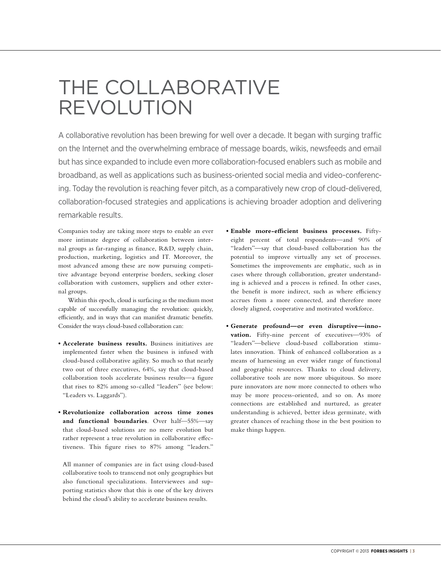### The collaborative revolution

A collaborative revolution has been brewing for well over a decade. It began with surging traffic on the Internet and the overwhelming embrace of message boards, wikis, newsfeeds and email but has since expanded to include even more collaboration-focused enablers such as mobile and broadband, as well as applications such as business-oriented social media and video-conferencing. Today the revolution is reaching fever pitch, as a comparatively new crop of cloud-delivered, collaboration-focused strategies and applications is achieving broader adoption and delivering remarkable results.

Companies today are taking more steps to enable an ever more intimate degree of collaboration between internal groups as far-ranging as finance, R&D, supply chain, production, marketing, logistics and IT. Moreover, the most advanced among these are now pursuing competitive advantage beyond enterprise borders, seeking closer collaboration with customers, suppliers and other external groups.

Within this epoch, cloud is surfacing as the medium most capable of successfully managing the revolution: quickly, efficiently, and in ways that can manifest dramatic benefits. Consider the ways cloud-based collaboration can:

- **Accelerate business results.** Business initiatives are implemented faster when the business is infused with cloud-based collaborative agility. So much so that nearly two out of three executives, 64%, say that cloud-based collaboration tools accelerate business results—a figure that rises to 82% among so-called "leaders" (see below: "Leaders vs. Laggards").
- **Revolutionize collaboration across time zones and functional boundaries**. Over half—55%—say that cloud-based solutions are no mere evolution but rather represent a true revolution in collaborative effectiveness. This figure rises to 87% among "leaders."

All manner of companies are in fact using cloud-based collaborative tools to transcend not only geographies but also functional specializations. Interviewees and supporting statistics show that this is one of the key drivers behind the cloud's ability to accelerate business results.

- **Enable more-efficient business processes.** Fiftyeight percent of total respondents—and 90% of "leaders"—say that cloud-based collaboration has the potential to improve virtually any set of processes. Sometimes the improvements are emphatic, such as in cases where through collaboration, greater understanding is achieved and a process is refined. In other cases, the benefit is more indirect, such as where efficiency accrues from a more connected, and therefore more closely aligned, cooperative and motivated workforce.
- **Generate profound—or even disruptive—innovation.** Fifty-nine percent of executives—93% of "leaders"—believe cloud-based collaboration stimulates innovation. Think of enhanced collaboration as a means of harnessing an ever wider range of functional and geographic resources. Thanks to cloud delivery, collaborative tools are now more ubiquitous. So more pure innovators are now more connected to others who may be more process-oriented, and so on. As more connections are established and nurtured, as greater understanding is achieved, better ideas germinate, with greater chances of reaching those in the best position to make things happen.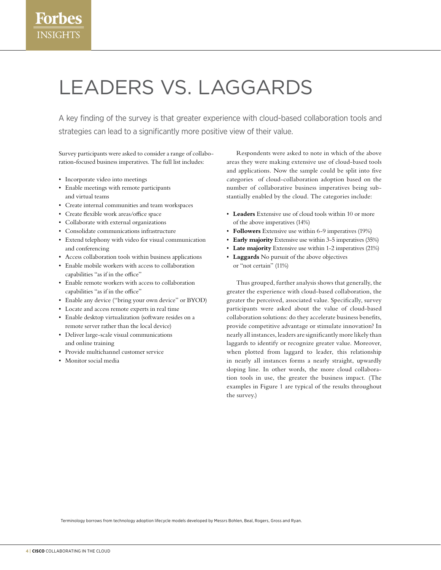## Leaders vs. laggards

A key finding of the survey is that greater experience with cloud-based collaboration tools and strategies can lead to a significantly more positive view of their value.

Survey participants were asked to consider a range of collaboration-focused business imperatives. The full list includes:

- Incorporate video into meetings
- • Enable meetings with remote participants and virtual teams
- • Create internal communities and team workspaces
- • Create flexible work areas/office space
- • Collaborate with external organizations
- • Consolidate communications infrastructure
- • Extend telephony with video for visual communication and conferencing
- • Access collaboration tools within business applications
- • Enable mobile workers with access to collaboration capabilities "as if in the office"
- • Enable remote workers with access to collaboration capabilities "as if in the office"
- • Enable any device ("bring your own device" or BYOD)
- • Locate and access remote experts in real time
- • Enable desktop virtualization (software resides on a remote server rather than the local device)
- • Deliver large-scale visual communications and online training
- • Provide multichannel customer service
- • Monitor social media

Respondents were asked to note in which of the above areas they were making extensive use of cloud-based tools and applications. Now the sample could be split into five categories of cloud-collaboration adoption based on the number of collaborative business imperatives being substantially enabled by the cloud. The categories include:

- • **Leaders** Extensive use of cloud tools within 10 or more of the above imperatives (14%)
- • **Followers** Extensive use within 6-9 imperatives (19%)
- • **Early majority** Extensive use within 3-5 imperatives (35%)
- **Late majority** Extensive use within 1-2 imperatives (21%)
- • **Laggards** No pursuit of the above objectives or "not certain" (11%)

Thus grouped, further analysis shows that generally, the greater the experience with cloud-based collaboration, the greater the perceived, associated value. Specifically, survey participants were asked about the value of cloud-based collaboration solutions: do they accelerate business benefits, provide competitive advantage or stimulate innovation? In nearly all instances, leaders are significantly more likely than laggards to identify or recognize greater value. Moreover, when plotted from laggard to leader, this relationship in nearly all instances forms a nearly straight, upwardly sloping line. In other words, the more cloud collaboration tools in use, the greater the business impact. (The examples in Figure 1 are typical of the results throughout the survey.)

Terminology borrows from technology adoption lifecycle models developed by Messrs Bohlen, Beal, Rogers, Gross and Ryan.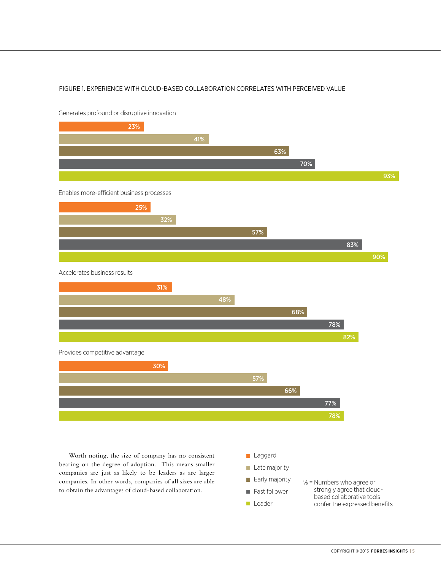#### Figure 1. Experience with cloud-based collaboration correlates with perceived value



Generates profound or disruptive innovation

Worth noting, the size of company has no consistent bearing on the degree of adoption. This means smaller companies are just as likely to be leaders as are larger companies. In other words, companies of all sizes are able to obtain the advantages of cloud-based collaboration.



% = Numbers who agree or strongly agree that cloudbased collaborative tools confer the expressed benefits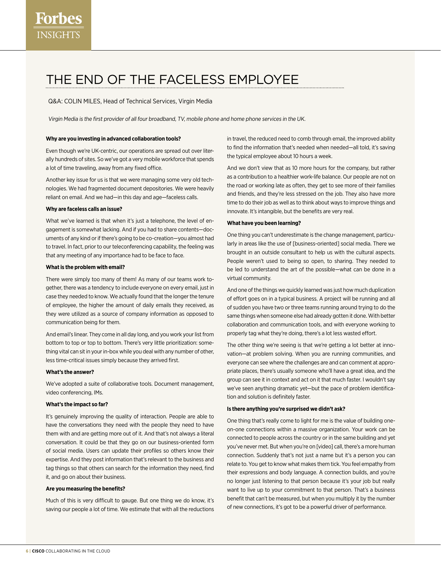### The end of the faceless employee

Q&A: Colin Miles, Head of Technical Services, Virgin Media

Virgin Media is the first provider of all four broadband, TV, mobile phone and home phone services in the UK.

#### **Why are you investing in advanced collaboration tools?**

Even though we're UK-centric, our operations are spread out over literally hundreds of sites. So we've got a very mobile workforce that spends a lot of time traveling, away from any fixed office.

Another key issue for us is that we were managing some very old technologies. We had fragmented document depositories. We were heavily reliant on email. And we had—in this day and age—faceless calls.

#### **Why are faceless calls an issue?**

What we've learned is that when it's just a telephone, the level of engagement is somewhat lacking. And if you had to share contents—documents of any kind or if there's going to be co-creation—you almost had to travel. In fact, prior to our teleconferencing capability, the feeling was that any meeting of any importance had to be face to face.

#### **What is the problem with email?**

There were simply too many of them! As many of our teams work together, there was a tendency to include everyone on every email, just in case they needed to know. We actually found that the longer the tenure of employee, the higher the amount of daily emails they received, as they were utilized as a source of company information as opposed to communication being for them.

And email's linear. They come in all day long, and you work your list from bottom to top or top to bottom. There's very little prioritization: something vital can sit in your in-box while you deal with any number of other, less time-critical issues simply because they arrived first.

#### **What's the answer?**

We've adopted a suite of collaborative tools. Document management, video conferencing, IMs.

#### **What's the impact so far?**

It's genuinely improving the quality of interaction. People are able to have the conversations they need with the people they need to have them with and are getting more out of it. And that's not always a literal conversation. It could be that they go on our business-oriented form of social media. Users can update their profiles so others know their expertise. And they post information that's relevant to the business and tag things so that others can search for the information they need, find it, and go on about their business.

#### **Are you measuring the benefits?**

Much of this is very difficult to gauge. But one thing we do know, it's saving our people a lot of time. We estimate that with all the reductions

in travel, the reduced need to comb through email, the improved ability to find the information that's needed when needed—all told, it's saving the typical employee about 10 hours a week.

And we don't view that as 10 more hours for the company, but rather as a contribution to a healthier work-life balance. Our people are not on the road or working late as often, they get to see more of their families and friends, and they're less stressed on the job. They also have more time to do their job as well as to think about ways to improve things and innovate. It's intangible, but the benefits are very real.

#### **What have you been learning?**

One thing you can't underestimate is the change management, particularly in areas like the use of [business-oriented] social media. There we brought in an outside consultant to help us with the cultural aspects. People weren't used to being so open, to sharing. They needed to be led to understand the art of the possible—what can be done in a virtual community.

And one of the things we quickly learned was just how much duplication of effort goes on in a typical business. A project will be running and all of sudden you have two or three teams running around trying to do the same things when someone else had already gotten it done. With better collaboration and communication tools, and with everyone working to properly tag what they're doing, there's a lot less wasted effort.

The other thing we're seeing is that we're getting a lot better at innovation—at problem solving. When you are running communities, and everyone can see where the challenges are and can comment at appropriate places, there's usually someone who'll have a great idea, and the group can see it in context and act on it that much faster. I wouldn't say we've seen anything dramatic yet—but the pace of problem identification and solution is definitely faster.

#### **Is there anything you're surprised we didn't ask?**

One thing that's really come to light for me is the value of building oneon-one connections within a massive organization. Your work can be connected to people across the country or in the same building and yet you've never met. But when you're on [video] call, there's a more human connection. Suddenly that's not just a name but it's a person you can relate to. You get to know what makes them tick. You feel empathy from their expressions and body language. A connection builds, and you're no longer just listening to that person because it's your job but really want to live up to your commitment to that person. That's a business benefit that can't be measured, but when you multiply it by the number of new connections, it's got to be a powerful driver of performance.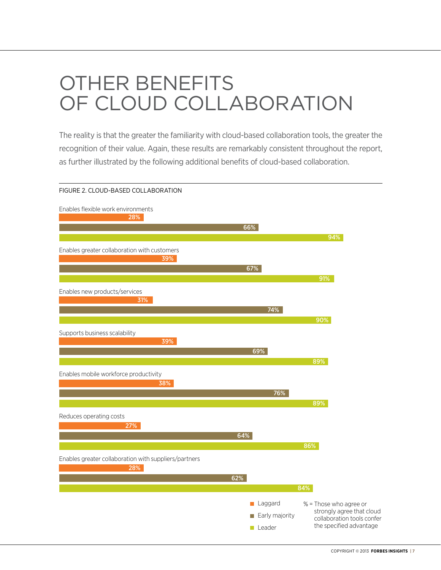## Other benefits of cloud collaboration

The reality is that the greater the familiarity with cloud-based collaboration tools, the greater the recognition of their value. Again, these results are remarkably consistent throughout the report, as further illustrated by the following additional benefits of cloud-based collaboration.

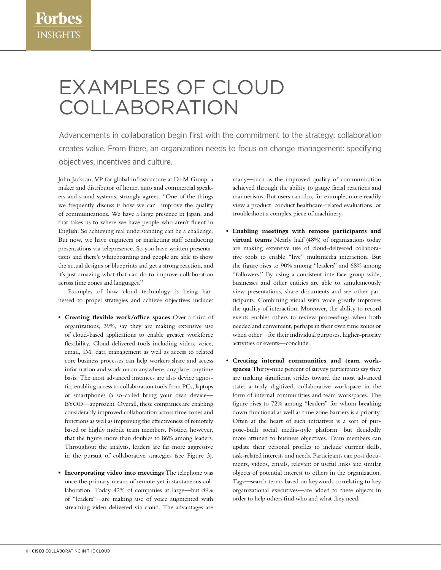### Examples of cloud **COLLABORATION**

Advancements in collaboration begin first with the commitment to the strategy: collaboration creates value. From there, an organization needs to focus on change management: specifying objectives, incentives and culture.

John Jackson, VP for global infrastructure at D+M Group, a maker and distributor of home, auto and commercial speakers and sound systems, strongly agrees. "One of the things we frequently discuss is how we can improve the quality of communications. We have a large presence in Japan, and that takes us to where we have people who aren't fluent in English. So achieving real understanding can be a challenge. But now, we have engineers or marketing staff conducting presentations via telepresence. So you have written presentations and there's whiteboarding and people are able to show the actual designs or blueprints and get a strong reaction, and it's just amazing what that can do to improve collaboration across time zones and languages."

Examples of how cloud technology is being harnessed to propel strategies and achieve objectives include:

- **• Creating flexible work/office spaces** Over a third of organizations, 39%, say they are making extensive use of cloud-based applications to enable greater workforce flexibility. Cloud-delivered tools including video, voice, email, IM, data management as well as access to related core business processes can help workers share and access information and work on an anywhere, anyplace, anytime basis. The most advanced instances are also device agnostic, enabling access to collaboration tools from PCs, laptops or smartphones (a so-called bring your own device— BYOD—approach). Overall, these companies are enabling considerably improved collaboration across time zones and functions as well as improving the effectiveness of remotely based or highly mobile team members. Notice, however, that the figure more than doubles to 86% among leaders. Throughout the analysis, leaders are far more aggressive in the pursuit of collaborative strategies (see Figure 3).
- **• Incorporating video into meetings** The telephone was once the primary means of remote yet instantaneous collaboration. Today 42% of companies at large—but 89% of "leaders"—are making use of voice augmented with streaming video delivered via cloud. The advantages are

many—such as the improved quality of communication achieved through the ability to gauge facial reactions and mannerisms. But users can also, for example, more readily view a product, conduct healthcare-related evaluations, or troubleshoot a complex piece of machinery.

- **• Enabling meetings with remote participants and virtual teams** Nearly half (48%) of organizations today are making extensive use of cloud-delivered collaborative tools to enable "live" multimedia interaction. But the figure rises to 90% among "leaders" and 68% among "followers." By using a consistent interface group-wide, businesses and other entities are able to simultaneously view presentations, share documents and see other participants. Combining visual with voice greatly improves the quality of interaction. Moreover, the ability to record events enables others to review proceedings when both needed and convenient, perhaps in their own time zones or when other—for their individual purposes, higher-priority activities or events—conclude.
- **• Creating internal communities and team workspaces** Thirty-nine percent of survey participants say they are making significant strides toward the most advanced state: a truly digitized, collaborative workspace in the form of internal communities and team workspaces. The figure rises to 72% among "leaders" for whom breaking down functional as well as time zone barriers is a priority. Often at the heart of such initiatives is a sort of purpose-built social media-style platform—but decidedly more attuned to business objectives. Team members can update their personal profiles to include current skills, task-related interests and needs. Participants can post documents, videos, emails, relevant or useful links and similar objects of potential interest to others in the organization. Tags—search terms based on keywords correlating to key organizational executives—are added to these objects in order to help others find who and what they need.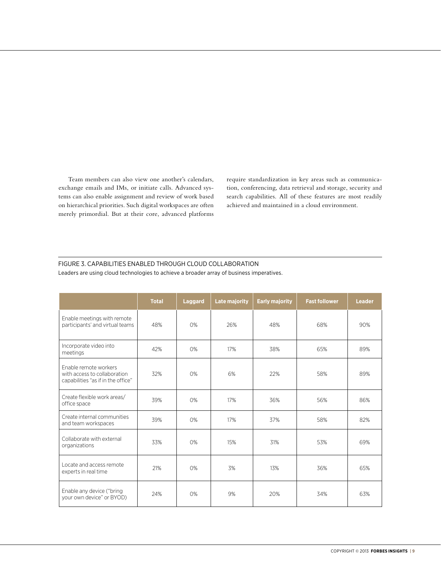Team members can also view one another's calendars, exchange emails and IMs, or initiate calls. Advanced systems can also enable assignment and review of work based on hierarchical priorities. Such digital workspaces are often merely primordial. But at their core, advanced platforms require standardization in key areas such as communication, conferencing, data retrieval and storage, security and search capabilities. All of these features are most readily achieved and maintained in a cloud environment.

#### Figure 3. Capabilities enabled through cloud collaboration

|                                                                                             | <b>Total</b> | <b>Laggard</b> | <b>Late majority</b> | <b>Early majority</b> | <b>Fast follower</b> | <b>Leader</b> |
|---------------------------------------------------------------------------------------------|--------------|----------------|----------------------|-----------------------|----------------------|---------------|
| Enable meetings with remote<br>participants' and virtual teams                              | 48%          | O%             | 26%                  | 48%                   | 68%                  | 90%           |
| Incorporate video into<br>meetings                                                          | 42%          | 0%             | 17%                  | 38%                   | 65%                  | 89%           |
| Enable remote workers<br>with access to collaboration<br>capabilities "as if in the office" | 32%          | O%             | 6%                   | 22%                   | 58%                  | 89%           |
| Create flexible work areas/<br>office space                                                 | 39%          | O%             | 17%                  | 36%                   | 56%                  | 86%           |
| Create internal communities<br>and team workspaces                                          | 39%          | O%             | 17%                  | 37%                   | 58%                  | 82%           |
| Collaborate with external<br>organizations                                                  | 33%          | O%             | 15%                  | 31%                   | 53%                  | 69%           |
| Locate and access remote<br>experts in real time                                            | 21%          | O%             | 3%                   | 13%                   | 36%                  | 65%           |
| Enable any device ("bring<br>vour own device" or BYOD)                                      | 24%          | O%             | 9%                   | 20%                   | 34%                  | 63%           |

Leaders are using cloud technologies to achieve a broader array of business imperatives.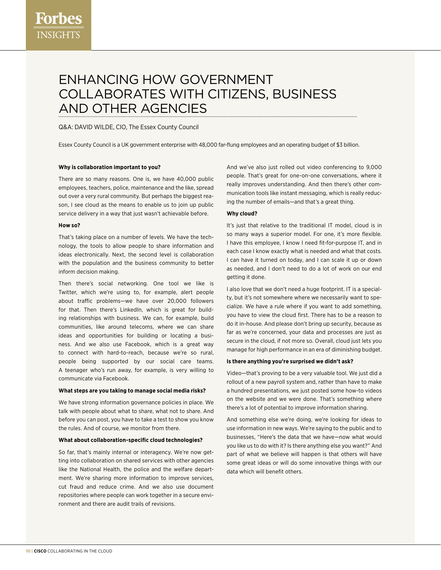### Enhancing how government collaborates with citizens, business and other agencies

#### Q&A: DAVID WILDE, CIO, The Essex County Council

Essex County Council is a UK government enterprise with 48,000 far-flung employees and an operating budget of \$3 billion.

#### **Why is collaboration important to you?**

There are so many reasons. One is, we have 40,000 public employees, teachers, police, maintenance and the like, spread out over a very rural community. But perhaps the biggest reason, I see cloud as the means to enable us to join up public service delivery in a way that just wasn't achievable before.

#### **How so?**

That's taking place on a number of levels. We have the technology, the tools to allow people to share information and ideas electronically. Next, the second level is collaboration with the population and the business community to better inform decision making.

Then there's social networking. One tool we like is Twitter, which we're using to, for example, alert people about traffic problems—we have over 20,000 followers for that. Then there's LinkedIn, which is great for building relationships with business. We can, for example, build communities, like around telecoms, where we can share ideas and opportunities for building or locating a business. And we also use Facebook, which is a great way to connect with hard-to-reach, because we're so rural, people being supported by our social care teams. A teenager who's run away, for example, is very willing to communicate via Facebook.

#### **What steps are you taking to manage social media risks?**

We have strong information governance policies in place. We talk with people about what to share, what not to share. And before you can post, you have to take a test to show you know the rules. And of course, we monitor from there.

#### **What about collaboration-specific cloud technologies?**

So far, that's mainly internal or interagency. We're now getting into collaboration on shared services with other agencies like the National Health, the police and the welfare department. We're sharing more information to improve services, cut fraud and reduce crime. And we also use document repositories where people can work together in a secure environment and there are audit trails of revisions.

And we've also just rolled out video conferencing to 9,000 people. That's great for one-on-one conversations, where it really improves understanding. And then there's other communication tools like instant messaging, which is really reducing the number of emails—and that's a great thing.

#### **Why cloud?**

It's just that relative to the traditional IT model, cloud is in so many ways a superior model. For one, it's more flexible. I have this employee, I know I need fit-for-purpose IT, and in each case I know exactly what is needed and what that costs. I can have it turned on today, and I can scale it up or down as needed, and I don't need to do a lot of work on our end getting it done.

I also love that we don't need a huge footprint. IT is a specialty, but it's not somewhere where we necessarily want to specialize. We have a rule where if you want to add something, you have to view the cloud first. There has to be a reason to do it in-house. And please don't bring up security, because as far as we're concerned, your data and processes are just as secure in the cloud, if not more so. Overall, cloud just lets you manage for high performance in an era of diminishing budget.

#### **Is there anything you're surprised we didn't ask?**

Video—that's proving to be a very valuable tool. We just did a rollout of a new payroll system and, rather than have to make a hundred presentations, we just posted some how-to videos on the website and we were done. That's something where there's a lot of potential to improve information sharing.

And something else we're doing, we're looking for ideas to use information in new ways. We're saying to the public and to businesses, "Here's the data that we have—now what would you like us to do with it? Is there anything else you want?" And part of what we believe will happen is that others will have some great ideas or will do some innovative things with our data which will benefit others.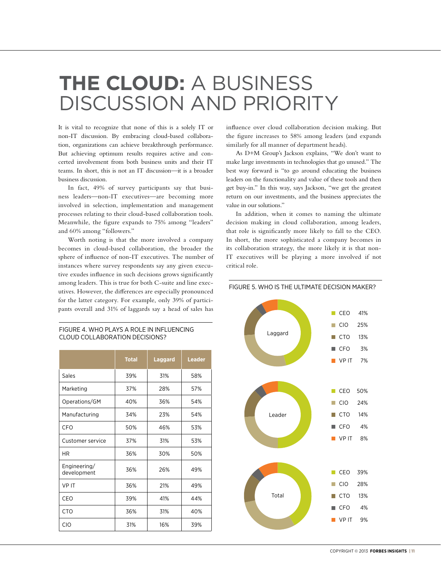### **The cloud:** a business discussion and priority

It is vital to recognize that none of this is a solely IT or non-IT discussion. By embracing cloud-based collaboration, organizations can achieve breakthrough performance. But achieving optimum results requires active and concerted involvement from both business units and their IT teams. In short, this is not an IT discussion—it is a broader business discussion.

In fact, 49% of survey participants say that business leaders—non-IT executives—are becoming more involved in selection, implementation and management processes relating to their cloud-based collaboration tools. Meanwhile, the figure expands to 75% among "leaders" and 60% among "followers."

Worth noting is that the more involved a company becomes in cloud-based collaboration, the broader the sphere of influence of non-IT executives. The number of instances where survey respondents say any given executive exudes influence in such decisions grows significantly among leaders. This is true for both C-suite and line executives. However, the differences are especially pronounced for the latter category. For example, only 39% of participants overall and 31% of laggards say a head of sales has

#### Figure 4. Who plays a role in influencing cloud collaboration decisions?

|                             | <b>Total</b> | <b>Laggard</b> | <b>Leader</b> |  |
|-----------------------------|--------------|----------------|---------------|--|
| Sales                       | 39%          | 31%            | 58%           |  |
| Marketing                   | 37%          | 28%            | 57%           |  |
| Operations/GM               | 40%          | 36%            | 54%           |  |
| Manufacturing               | 34%          | 23%            | 54%           |  |
| CFO                         | 50%          | 46%            | 53%           |  |
| Customer service            | 37%          | 31%            | 53%           |  |
| HR                          | 36%          | 30%            | 50%           |  |
| Engineering/<br>development | 36%          | 26%            | 49%           |  |
| <b>VPIT</b>                 | 36%          | 21%            | 49%           |  |
| CEO                         | 39%          | 41%            | 44%           |  |
| <b>CTO</b>                  | 36%          | 31%            | 40%           |  |
| <b>CIO</b>                  | 31%          | 16%            | 39%           |  |

influence over cloud collaboration decision making. But the figure increases to 58% among leaders (and expands similarly for all manner of department heads).

As D+M Group's Jackson explains, "We don't want to make large investments in technologies that go unused." The best way forward is "to go around educating the business leaders on the functionality and value of these tools and then get buy-in." In this way, says Jackson, "we get the greatest return on our investments, and the business appreciates the value in our solutions."

In addition, when it comes to naming the ultimate decision making in cloud collaboration, among leaders, that role is significantly more likely to fall to the CEO. In short, the more sophisticated a company becomes in its collaboration strategy, the more likely it is that non-IT executives will be playing a more involved if not critical role.

#### Figure 5. Who is the ultimate decision maker?

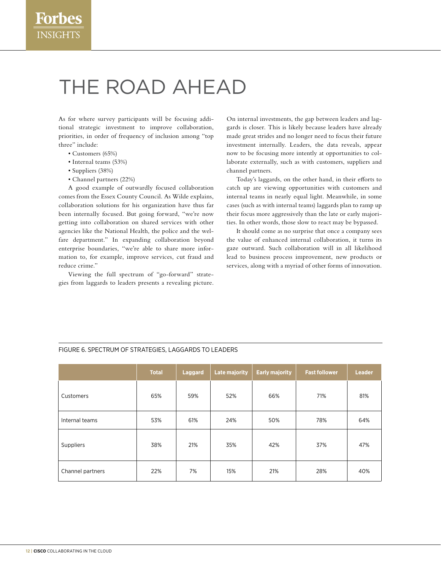## The road ahead

As for where survey participants will be focusing additional strategic investment to improve collaboration, priorities, in order of frequency of inclusion among "top three" include:

- Customers (65%)
- Internal teams (53%)
- Suppliers (38%)
- Channel partners (22%)

A good example of outwardly focused collaboration comes from the Essex County Council. As Wilde explains, collaboration solutions for his organization have thus far been internally focused. But going forward, "we're now getting into collaboration on shared services with other agencies like the National Health, the police and the welfare department." In expanding collaboration beyond enterprise boundaries, "we're able to share more information to, for example, improve services, cut fraud and reduce crime."

Viewing the full spectrum of "go-forward" strategies from laggards to leaders presents a revealing picture. On internal investments, the gap between leaders and laggards is closer. This is likely because leaders have already made great strides and no longer need to focus their future investment internally. Leaders, the data reveals, appear now to be focusing more intently at opportunities to collaborate externally, such as with customers, suppliers and channel partners.

Today's laggards, on the other hand, in their efforts to catch up are viewing opportunities with customers and internal teams in nearly equal light. Meanwhile, in some cases (such as with internal teams) laggards plan to ramp up their focus more aggressively than the late or early majorities. In other words, those slow to react may be bypassed.

It should come as no surprise that once a company sees the value of enhanced internal collaboration, it turns its gaze outward. Such collaboration will in all likelihood lead to business process improvement, new products or services, along with a myriad of other forms of innovation.

|                  | <b>Total</b> | <b>Laggard</b> | <b>Late majority</b> | <b>Early majority</b> | <b>Fast follower</b> | <b>Leader</b> |
|------------------|--------------|----------------|----------------------|-----------------------|----------------------|---------------|
| Customers        | 65%          | 59%            | 52%                  | 66%                   | 71%                  | 81%           |
| Internal teams   | 53%          | 61%            | 24%                  | 50%                   | 78%                  | 64%           |
| Suppliers        | 38%          | 21%            | 35%                  | 42%                   | 37%                  | 47%           |
| Channel partners | 22%          | 7%             | 15%                  | 21%                   | 28%                  | 40%           |

#### Figure 6. Spectrum of strategies, laggards to leaders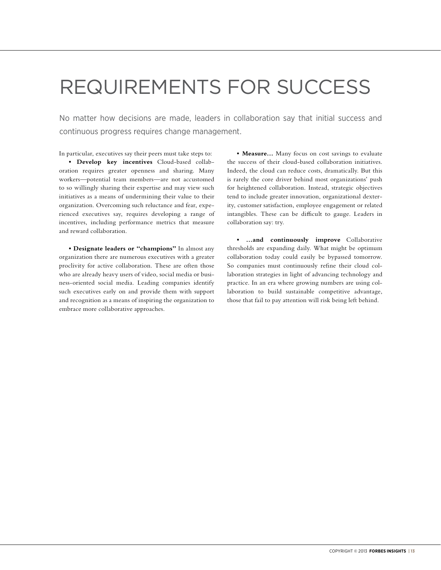### Requirements for success

No matter how decisions are made, leaders in collaboration say that initial success and continuous progress requires change management.

In particular, executives say their peers must take steps to:

**• Develop key incentives** Cloud-based collaboration requires greater openness and sharing. Many workers—potential team members—are not accustomed to so willingly sharing their expertise and may view such initiatives as a means of undermining their value to their organization. Overcoming such reluctance and fear, experienced executives say, requires developing a range of incentives, including performance metrics that measure and reward collaboration.

**• Designate leaders or "champions"** In almost any organization there are numerous executives with a greater proclivity for active collaboration. These are often those who are already heavy users of video, social media or business-oriented social media. Leading companies identify such executives early on and provide them with support and recognition as a means of inspiring the organization to embrace more collaborative approaches.

**• Measure…** Many focus on cost savings to evaluate the success of their cloud-based collaboration initiatives. Indeed, the cloud can reduce costs, dramatically. But this is rarely the core driver behind most organizations' push for heightened collaboration. Instead, strategic objectives tend to include greater innovation, organizational dexterity, customer satisfaction, employee engagement or related intangibles. These can be difficult to gauge. Leaders in collaboration say: try.

**• …and continuously improve** Collaborative thresholds are expanding daily. What might be optimum collaboration today could easily be bypassed tomorrow. So companies must continuously refine their cloud collaboration strategies in light of advancing technology and practice. In an era where growing numbers are using collaboration to build sustainable competitive advantage, those that fail to pay attention will risk being left behind.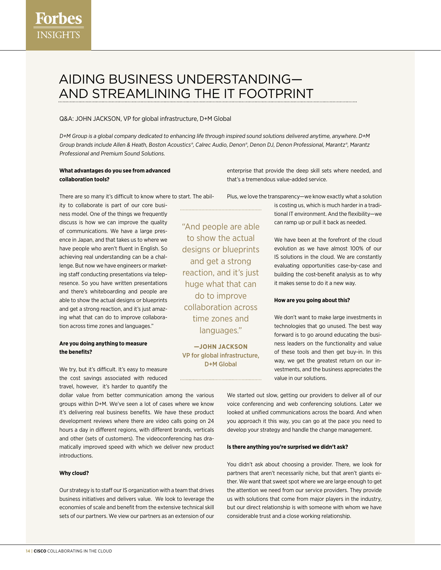### Aiding business understanding and streamlining the IT footprint

#### Q&A: John Jackson, VP for global infrastructure, D+M Global

D+M Group is a global company dedicated to enhancing life through inspired sound solutions delivered anytime, anywhere. D+M Group brands include Allen & Heath, Boston Acoustics®, Calrec Audio, Denon®, Denon DJ, Denon Professional, Marantz®, Marantz Professional and Premium Sound Solutions.

#### **What advantages do you see from advanced collaboration tools?**

There are so many it's difficult to know where to start. The abil-

ity to collaborate is part of our core business model. One of the things we frequently discuss is how we can improve the quality of communications. We have a large presence in Japan, and that takes us to where we have people who aren't fluent in English. So achieving real understanding can be a challenge. But now we have engineers or marketing staff conducting presentations via telepresence. So you have written presentations and there's whiteboarding and people are able to show the actual designs or blueprints and get a strong reaction, and it's just amazing what that can do to improve collaboration across time zones and languages."

#### **Are you doing anything to measure the benefits?**

We try, but it's difficult. It's easy to measure the cost savings associated with reduced travel, however, it's harder to quantify the

dollar value from better communication among the various groups within D+M. We've seen a lot of cases where we know it's delivering real business benefits. We have these product development reviews where there are video calls going on 24 hours a day in different regions, with different brands, verticals and other (sets of customers). The videoconferencing has dramatically improved speed with which we deliver new product introductions.

#### **Why cloud?**

Our strategy is to staff our IS organization with a team that drives business initiatives and delivers value. We look to leverage the economies of scale and benefit from the extensive technical skill sets of our partners. We view our partners as an extension of our

enterprise that provide the deep skill sets where needed, and that's a tremendous value-added service.

Plus, we love the transparency—we know exactly what a solution

"And people are able to show the actual designs or blueprints and get a strong reaction, and it's just huge what that can do to improve collaboration across time zones and languages."

**—JOHN JACKSON** VP for global infrastructure, D+M Global

is costing us, which is much harder in a traditional IT environment. And the flexibility—we can ramp up or pull it back as needed.

We have been at the forefront of the cloud evolution as we have almost 100% of our IS solutions in the cloud. We are constantly evaluating opportunities case-by-case and building the cost-benefit analysis as to why it makes sense to do it a new way.

#### **How are you going about this?**

We don't want to make large investments in technologies that go unused. The best way forward is to go around educating the business leaders on the functionality and value of these tools and then get buy-in. In this way, we get the greatest return on our investments, and the business appreciates the value in our solutions.

We started out slow, getting our providers to deliver all of our voice conferencing and web conferencing solutions. Later we looked at unified communications across the board. And when you approach it this way, you can go at the pace you need to develop your strategy and handle the change management.

#### **Is there anything you're surprised we didn't ask?**

You didn't ask about choosing a provider. There, we look for partners that aren't necessarily niche, but that aren't giants either. We want that sweet spot where we are large enough to get the attention we need from our service providers. They provide us with solutions that come from major players in the industry, but our direct relationship is with someone with whom we have considerable trust and a close working relationship.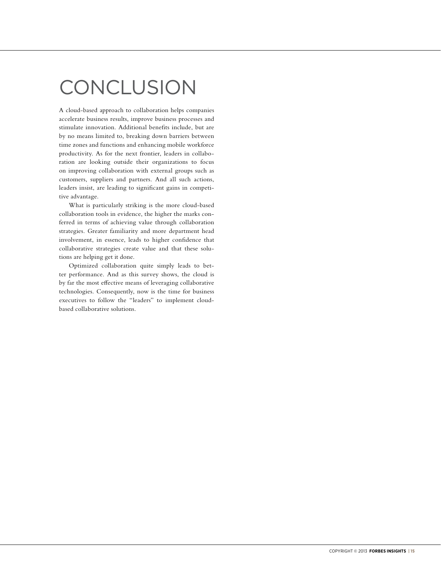## **CONCLUSION**

A cloud-based approach to collaboration helps companies accelerate business results, improve business processes and stimulate innovation. Additional benefits include, but are by no means limited to, breaking down barriers between time zones and functions and enhancing mobile workforce productivity. As for the next frontier, leaders in collaboration are looking outside their organizations to focus on improving collaboration with external groups such as customers, suppliers and partners. And all such actions, leaders insist, are leading to significant gains in competitive advantage.

What is particularly striking is the more cloud-based collaboration tools in evidence, the higher the marks conferred in terms of achieving value through collaboration strategies. Greater familiarity and more department head involvement, in essence, leads to higher confidence that collaborative strategies create value and that these solutions are helping get it done.

Optimized collaboration quite simply leads to better performance. And as this survey shows, the cloud is by far the most effective means of leveraging collaborative technologies. Consequently, now is the time for business executives to follow the "leaders" to implement cloudbased collaborative solutions.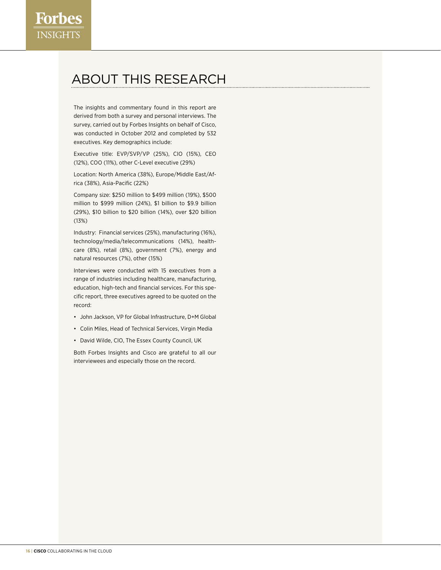### About this research

The insights and commentary found in this report are derived from both a survey and personal interviews. The survey, carried out by Forbes Insights on behalf of Cisco, was conducted in October 2012 and completed by 532 executives. Key demographics include:

Executive title: EVP/SVP/VP (25%), CIO (15%), CEO (12%), COO (11%), other C-Level executive (29%)

Location: North America (38%), Europe/Middle East/Africa (38%), Asia-Pacific (22%)

Company size: \$250 million to \$499 million (19%), \$500 million to \$999 million (24%), \$1 billion to \$9.9 billion (29%), \$10 billion to \$20 billion (14%), over \$20 billion (13%)

Industry: Financial services (25%), manufacturing (16%), technology/media/telecommunications (14%), healthcare (8%), retail (8%), government (7%), energy and natural resources (7%), other (15%)

Interviews were conducted with 15 executives from a range of industries including healthcare, manufacturing, education, high-tech and financial services. For this specific report, three executives agreed to be quoted on the record:

- • John Jackson, VP for Global Infrastructure, D+M Global
- • Colin Miles, Head of Technical Services, Virgin Media
- David Wilde, CIO, The Essex County Council, UK

Both Forbes Insights and Cisco are grateful to all our interviewees and especially those on the record.